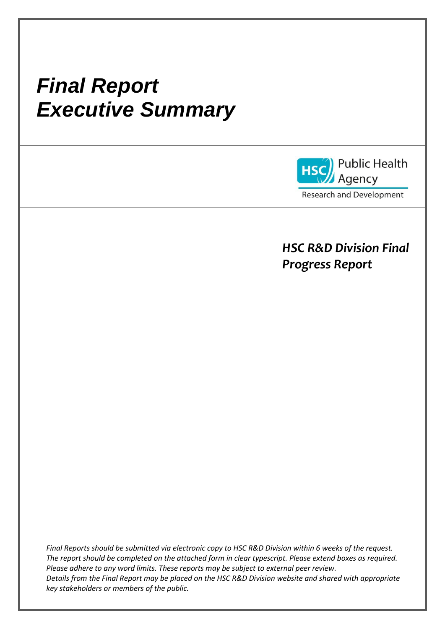# *Final Report Executive Summary*



*HSC R&D Division Final Progress Report*

*Final Reports should be submitted via electronic copy to HSC R&D Division within 6 weeks of the request. The report should be completed on the attached form in clear typescript. Please extend boxes as required. Please adhere to any word limits. These reports may be subject to external peer review. Details from the Final Report may be placed on the HSC R&D Division website and shared with appropriate key stakeholders or members of the public.*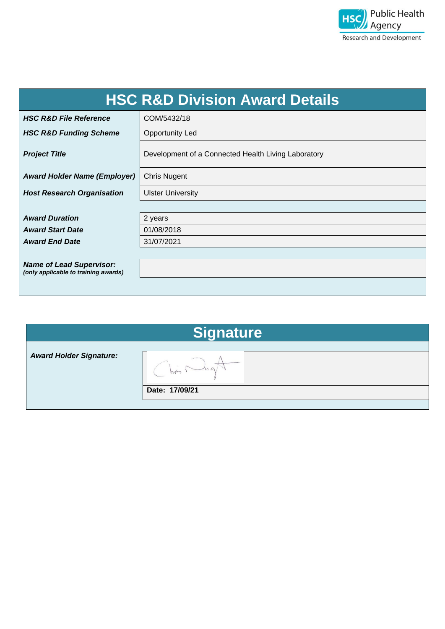

| <b>HSC R&amp;D Division Award Details</b>                               |                                                     |  |  |  |
|-------------------------------------------------------------------------|-----------------------------------------------------|--|--|--|
| <b>HSC R&amp;D File Reference</b>                                       | COM/5432/18                                         |  |  |  |
| <b>HSC R&amp;D Funding Scheme</b>                                       | <b>Opportunity Led</b>                              |  |  |  |
| <b>Project Title</b>                                                    | Development of a Connected Health Living Laboratory |  |  |  |
| <b>Award Holder Name (Employer)</b>                                     | <b>Chris Nugent</b>                                 |  |  |  |
| <b>Host Research Organisation</b>                                       | <b>Ulster University</b>                            |  |  |  |
|                                                                         |                                                     |  |  |  |
| <b>Award Duration</b>                                                   | 2 years                                             |  |  |  |
| <b>Award Start Date</b>                                                 | 01/08/2018                                          |  |  |  |
| <b>Award End Date</b>                                                   | 31/07/2021                                          |  |  |  |
|                                                                         |                                                     |  |  |  |
| <b>Name of Lead Supervisor:</b><br>(only applicable to training awards) |                                                     |  |  |  |
|                                                                         |                                                     |  |  |  |

# **Signature**

*Award Holder Signature:*

 $\overline{\mathsf{h}}$  $\sqrt{ }$  $\left($ 

**Date: 17/09/21**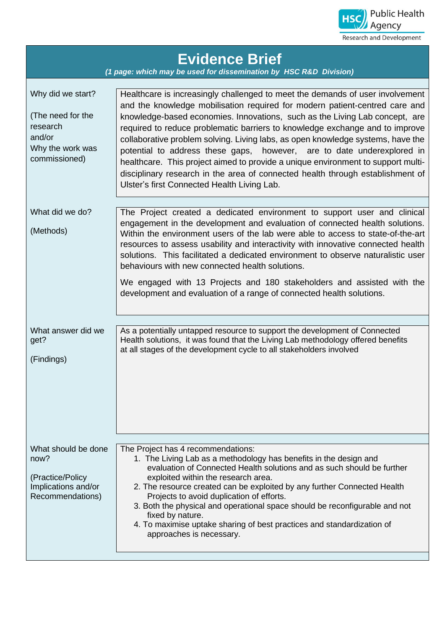

| <b>Evidence Brief</b><br>(1 page: which may be used for dissemination by HSC R&D Division)        |                                                                                                                                                                                                                                                                                                                                                                                                                                                                                                                                                                                                                                                                                                               |  |  |  |  |
|---------------------------------------------------------------------------------------------------|---------------------------------------------------------------------------------------------------------------------------------------------------------------------------------------------------------------------------------------------------------------------------------------------------------------------------------------------------------------------------------------------------------------------------------------------------------------------------------------------------------------------------------------------------------------------------------------------------------------------------------------------------------------------------------------------------------------|--|--|--|--|
| Why did we start?<br>(The need for the<br>research<br>and/or<br>Why the work was<br>commissioned) | Healthcare is increasingly challenged to meet the demands of user involvement<br>and the knowledge mobilisation required for modern patient-centred care and<br>knowledge-based economies. Innovations, such as the Living Lab concept, are<br>required to reduce problematic barriers to knowledge exchange and to improve<br>collaborative problem solving. Living labs, as open knowledge systems, have the<br>potential to address these gaps, however, are to date underexplored in<br>healthcare. This project aimed to provide a unique environment to support multi-<br>disciplinary research in the area of connected health through establishment of<br>Ulster's first Connected Health Living Lab. |  |  |  |  |
| What did we do?<br>(Methods)                                                                      | The Project created a dedicated environment to support user and clinical<br>engagement in the development and evaluation of connected health solutions.<br>Within the environment users of the lab were able to access to state-of-the-art<br>resources to assess usability and interactivity with innovative connected health<br>solutions. This facilitated a dedicated environment to observe naturalistic user<br>behaviours with new connected health solutions.<br>We engaged with 13 Projects and 180 stakeholders and assisted with the<br>development and evaluation of a range of connected health solutions.                                                                                       |  |  |  |  |
| What answer did we<br>get?<br>(Findings)                                                          | As a potentially untapped resource to support the development of Connected<br>Health solutions, it was found that the Living Lab methodology offered benefits<br>at all stages of the development cycle to all stakeholders involved                                                                                                                                                                                                                                                                                                                                                                                                                                                                          |  |  |  |  |
| What should be done<br>now?<br>(Practice/Policy<br>Implications and/or<br>Recommendations)        | The Project has 4 recommendations:<br>1. The Living Lab as a methodology has benefits in the design and<br>evaluation of Connected Health solutions and as such should be further<br>exploited within the research area.<br>2. The resource created can be exploited by any further Connected Health<br>Projects to avoid duplication of efforts.<br>3. Both the physical and operational space should be reconfigurable and not<br>fixed by nature.<br>4. To maximise uptake sharing of best practices and standardization of<br>approaches is necessary.                                                                                                                                                    |  |  |  |  |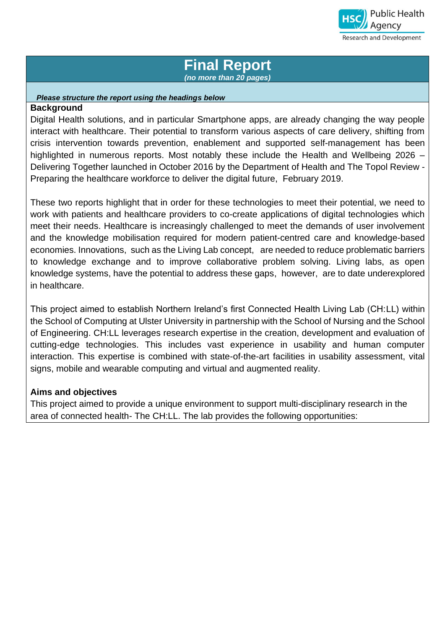

# **Final Report**  *(no more than 20 pages)*

#### *Please structure the report using the headings below* **Background**

Digital Health solutions, and in particular Smartphone apps, are already changing the way people interact with healthcare. Their potential to transform various aspects of care delivery, shifting from crisis intervention towards prevention, enablement and supported self-management has been highlighted in numerous reports. Most notably these include the Health and Wellbeing 2026 – Delivering Together launched in October 2016 by the Department of Health and The Topol Review - Preparing the healthcare workforce to deliver the digital future, February 2019.

These two reports highlight that in order for these technologies to meet their potential, we need to work with patients and healthcare providers to co-create applications of digital technologies which meet their needs. Healthcare is increasingly challenged to meet the demands of user involvement and the knowledge mobilisation required for modern patient-centred care and knowledge-based economies. Innovations, such as the Living Lab concept, are needed to reduce problematic barriers to knowledge exchange and to improve collaborative problem solving. Living labs, as open knowledge systems, have the potential to address these gaps, however, are to date underexplored in healthcare.

This project aimed to establish Northern Ireland's first Connected Health Living Lab (CH:LL) within the School of Computing at Ulster University in partnership with the School of Nursing and the School of Engineering. CH:LL leverages research expertise in the creation, development and evaluation of cutting-edge technologies. This includes vast experience in usability and human computer interaction. This expertise is combined with state-of-the-art facilities in usability assessment, vital signs, mobile and wearable computing and virtual and augmented reality.

# **Aims and objectives**

This project aimed to provide a unique environment to support multi-disciplinary research in the area of connected health- The CH:LL. The lab provides the following opportunities: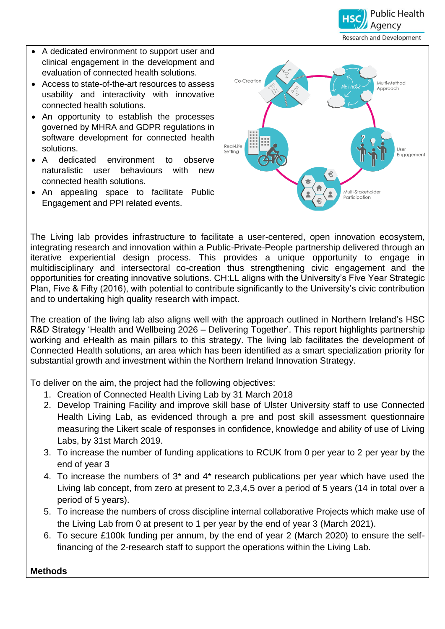

- A dedicated environment to support user and clinical engagement in the development and evaluation of connected health solutions.
- Access to state-of-the-art resources to assess usability and interactivity with innovative connected health solutions.
- An opportunity to establish the processes governed by MHRA and GDPR regulations in software development for connected health solutions.
- A dedicated environment to observe naturalistic user behaviours with new connected health solutions.
- An appealing space to facilitate Public Engagement and PPI related events.



The Living lab provides infrastructure to facilitate a user-centered, open innovation ecosystem, integrating research and innovation within a Public-Private-People partnership delivered through an iterative experiential design process. This provides a unique opportunity to engage in multidisciplinary and intersectoral co-creation thus strengthening civic engagement and the opportunities for creating innovative solutions. CH:LL aligns with the University's Five Year Strategic Plan, Five & Fifty (2016), with potential to contribute significantly to the University's civic contribution and to undertaking high quality research with impact.

The creation of the living lab also aligns well with the approach outlined in Northern Ireland's HSC R&D Strategy 'Health and Wellbeing 2026 – Delivering Together'. This report highlights partnership working and eHealth as main pillars to this strategy. The living lab facilitates the development of Connected Health solutions, an area which has been identified as a smart specialization priority for substantial growth and investment within the Northern Ireland Innovation Strategy.

To deliver on the aim, the project had the following objectives:

- 1. Creation of Connected Health Living Lab by 31 March 2018
- 2. Develop Training Facility and improve skill base of Ulster University staff to use Connected Health Living Lab, as evidenced through a pre and post skill assessment questionnaire measuring the Likert scale of responses in confidence, knowledge and ability of use of Living Labs, by 31st March 2019.
- 3. To increase the number of funding applications to RCUK from 0 per year to 2 per year by the end of year 3
- 4. To increase the numbers of 3\* and 4\* research publications per year which have used the Living lab concept, from zero at present to 2,3,4,5 over a period of 5 years (14 in total over a period of 5 years).
- 5. To increase the numbers of cross discipline internal collaborative Projects which make use of the Living Lab from 0 at present to 1 per year by the end of year 3 (March 2021).
- 6. To secure £100k funding per annum, by the end of year 2 (March 2020) to ensure the selffinancing of the 2-research staff to support the operations within the Living Lab.

**Methods**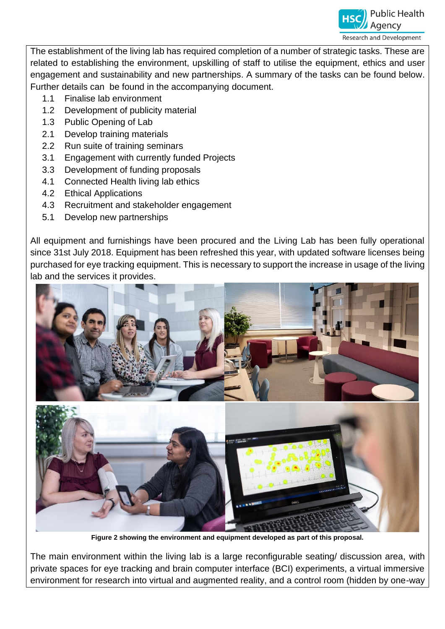

The establishment of the living lab has required completion of a number of strategic tasks. These are related to establishing the environment, upskilling of staff to utilise the equipment, ethics and user engagement and sustainability and new partnerships. A summary of the tasks can be found below. Further details can be found in the accompanying document.

- 1.1 Finalise lab environment
- 1.2 Development of publicity material
- 1.3 Public Opening of Lab
- 2.1 Develop training materials
- 2.2 Run suite of training seminars
- 3.1 Engagement with currently funded Projects
- 3.3 Development of funding proposals
- 4.1 Connected Health living lab ethics
- 4.2 Ethical Applications
- 4.3 Recruitment and stakeholder engagement
- 5.1 Develop new partnerships

All equipment and furnishings have been procured and the Living Lab has been fully operational since 31st July 2018. Equipment has been refreshed this year, with updated software licenses being purchased for eye tracking equipment. This is necessary to support the increase in usage of the living lab and the services it provides.



**Figure 2 showing the environment and equipment developed as part of this proposal.** 

The main environment within the living lab is a large reconfigurable seating/ discussion area, with private spaces for eye tracking and brain computer interface (BCI) experiments, a virtual immersive environment for research into virtual and augmented reality, and a control room (hidden by one-way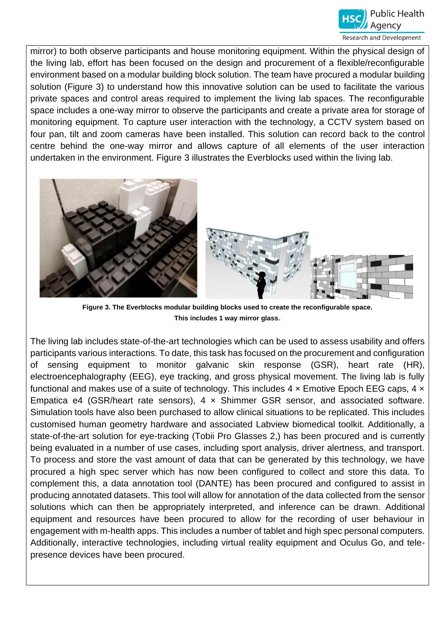

mirror) to both observe participants and house monitoring equipment. Within the physical design of the living lab, effort has been focused on the design and procurement of a flexible/reconfigurable environment based on a modular building block solution. The team have procured a modular building solution (Figure 3) to understand how this innovative solution can be used to facilitate the various private spaces and control areas required to implement the living lab spaces. The reconfigurable space includes a one-way mirror to observe the participants and create a private area for storage of monitoring equipment. To capture user interaction with the technology, a CCTV system based on four pan, tilt and zoom cameras have been installed. This solution can record back to the control centre behind the one-way mirror and allows capture of all elements of the user interaction undertaken in the environment. Figure 3 illustrates the Everblocks used within the living lab.



**Figure 3. The Everblocks modular building blocks used to create the reconfigurable space. This includes 1 way mirror glass**.

The living lab includes state-of-the-art technologies which can be used to assess usability and offers participants various interactions. To date, this task has focused on the procurement and configuration of sensing equipment to monitor galvanic skin response (GSR), heart rate (HR), electroencephalography (EEG), eye tracking, and gross physical movement. The living lab is fully functional and makes use of a suite of technology. This includes  $4 \times$  Emotive Epoch EEG caps,  $4 \times$ Empatica e4 (GSR/heart rate sensors),  $4 \times$  Shimmer GSR sensor, and associated software. Simulation tools have also been purchased to allow clinical situations to be replicated. This includes customised human geometry hardware and associated Labview biomedical toolkit. Additionally, a state-of-the-art solution for eye-tracking (Tobii Pro Glasses 2,) has been procured and is currently being evaluated in a number of use cases, including sport analysis, driver alertness, and transport. To process and store the vast amount of data that can be generated by this technology, we have procured a high spec server which has now been configured to collect and store this data. To complement this, a data annotation tool (DANTE) has been procured and configured to assist in producing annotated datasets. This tool will allow for annotation of the data collected from the sensor solutions which can then be appropriately interpreted, and inference can be drawn. Additional equipment and resources have been procured to allow for the recording of user behaviour in engagement with m-health apps. This includes a number of tablet and high spec personal computers. Additionally, interactive technologies, including virtual reality equipment and Oculus Go, and telepresence devices have been procured.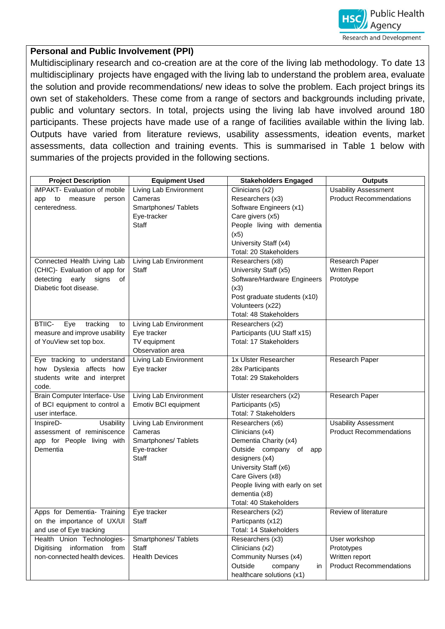

## **Personal and Public Involvement (PPI)**

Multidisciplinary research and co-creation are at the core of the living lab methodology. To date 13 multidisciplinary projects have engaged with the living lab to understand the problem area, evaluate the solution and provide recommendations/ new ideas to solve the problem. Each project brings its own set of stakeholders. These come from a range of sectors and backgrounds including private, public and voluntary sectors. In total, projects using the living lab have involved around 180 participants. These projects have made use of a range of facilities available within the living lab. Outputs have varied from literature reviews, usability assessments, ideation events, market assessments, data collection and training events. This is summarised in Table 1 below with summaries of the projects provided in the following sections.

| <b>Project Description</b>             | <b>Equipment Used</b>  | <b>Stakeholders Engaged</b>                  | <b>Outputs</b>                 |
|----------------------------------------|------------------------|----------------------------------------------|--------------------------------|
| iMPAKT- Evaluation of mobile           | Living Lab Environment | Clinicians (x2)                              | <b>Usability Assessment</b>    |
| to<br>measure<br>person<br>app         | Cameras                | Researchers (x3)                             | <b>Product Recommendations</b> |
| centeredness.                          | Smartphones/ Tablets   | Software Engineers (x1)                      |                                |
|                                        | Eye-tracker            | Care givers (x5)                             |                                |
|                                        | <b>Staff</b>           | People living with dementia                  |                                |
|                                        |                        | (x5)                                         |                                |
|                                        |                        | University Staff (x4)                        |                                |
|                                        |                        | Total: 20 Stakeholders                       |                                |
| Connected Health Living Lab            | Living Lab Environment | Researchers (x8)                             | Research Paper                 |
| (CHIC)- Evaluation of app for          | <b>Staff</b>           | University Staff (x5)                        | Written Report                 |
| detecting early<br>signs<br>of         |                        | Software/Hardware Engineers                  | Prototype                      |
| Diabetic foot disease.                 |                        | (x3)                                         |                                |
|                                        |                        | Post graduate students (x10)                 |                                |
|                                        |                        | Volunteers (x22)                             |                                |
|                                        |                        | Total: 48 Stakeholders                       |                                |
| <b>BTIIC-</b><br>Eye<br>tracking<br>to | Living Lab Environment | Researchers (x2)                             |                                |
| measure and improve usability          | Eye tracker            | Participants (UU Staff x15)                  |                                |
| of YouView set top box.                | TV equipment           | Total: 17 Stakeholders                       |                                |
|                                        | Observation area       |                                              |                                |
| Eye tracking to understand             | Living Lab Environment | 1x Ulster Researcher                         | Research Paper                 |
| how Dyslexia affects how               | Eye tracker            | 28x Participants                             |                                |
| students write and interpret<br>code.  |                        | Total: 29 Stakeholders                       |                                |
| Brain Computer Interface- Use          | Living Lab Environment |                                              |                                |
| of BCI equipment to control a          | Emotiv BCI equipment   | Ulster researchers (x2)<br>Participants (x5) | Research Paper                 |
| user interface.                        |                        | <b>Total: 7 Stakeholders</b>                 |                                |
| InspireD-<br>Usability                 | Living Lab Environment | Researchers (x6)                             | <b>Usability Assessment</b>    |
| assessment of reminiscence             | Cameras                | Clinicians (x4)                              | <b>Product Recommendations</b> |
| app for People living with             | Smartphones/ Tablets   | Dementia Charity (x4)                        |                                |
| Dementia                               | Eye-tracker            | Outside company of<br>app                    |                                |
|                                        | <b>Staff</b>           | designers (x4)                               |                                |
|                                        |                        | University Staff (x6)                        |                                |
|                                        |                        | Care Givers (x8)                             |                                |
|                                        |                        | People living with early on set              |                                |
|                                        |                        | dementia (x8)                                |                                |
|                                        |                        | Total: 40 Stakeholders                       |                                |
| Apps for Dementia- Training            | Eye tracker            | Researchers (x2)                             | Review of literature           |
| on the importance of UX/UI             | Staff                  | Particpants (x12)                            |                                |
| and use of Eye tracking                |                        | Total: 14 Stakeholders                       |                                |
| Health Union Technologies-             | Smartphones/Tablets    | Researchers (x3)                             | User workshop                  |
| Digitising information from            | Staff                  | Clinicians (x2)                              | Prototypes                     |
| non-connected health devices.          | <b>Health Devices</b>  | Community Nurses (x4)                        | Written report                 |
|                                        |                        | Outside<br>company<br>in                     | <b>Product Recommendations</b> |
|                                        |                        | healthcare solutions (x1)                    |                                |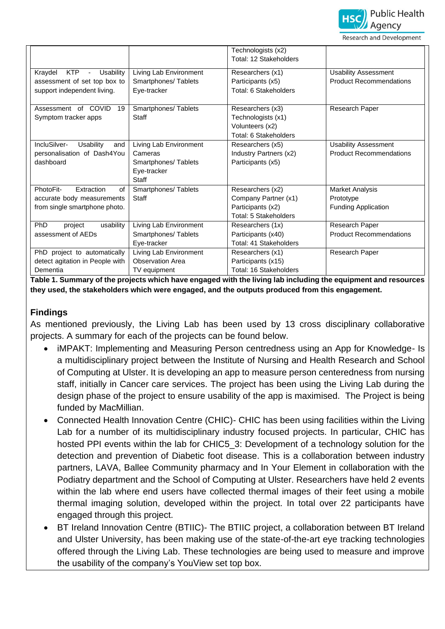

**Research and Development** 

|                                              |                         | Technologists (x2)           |                                |
|----------------------------------------------|-------------------------|------------------------------|--------------------------------|
|                                              |                         | Total: 12 Stakeholders       |                                |
| Kraydel<br><b>KTP</b><br>Usability<br>$\sim$ | Living Lab Environment  | Researchers (x1)             | <b>Usability Assessment</b>    |
| assessment of set top box to                 | Smartphones/Tablets     | Participants (x5)            | <b>Product Recommendations</b> |
| support independent living.                  | Eye-tracker             | Total: 6 Stakeholders        |                                |
|                                              |                         |                              |                                |
| of COVID<br>Assessment<br>19                 | Smartphones/Tablets     | Researchers (x3)             | Research Paper                 |
| Symptom tracker apps                         | Staff                   | Technologists (x1)           |                                |
|                                              |                         | Volunteers (x2)              |                                |
|                                              |                         | Total: 6 Stakeholders        |                                |
| IncluSilver-<br>Usability<br>and             | Living Lab Environment  | Researchers (x5)             | <b>Usability Assessment</b>    |
| personalisation of Dash4You                  | Cameras                 | Industry Partners (x2)       | <b>Product Recommendations</b> |
| dashboard                                    | Smartphones/Tablets     | Participants (x5)            |                                |
|                                              | Eye-tracker             |                              |                                |
|                                              | <b>Staff</b>            |                              |                                |
| PhotoFit-<br>Extraction<br>of                | Smartphones/Tablets     | Researchers (x2)             | <b>Market Analysis</b>         |
| accurate body measurements                   | Staff                   | Company Partner (x1)         | Prototype                      |
| from single smartphone photo.                |                         | Participants (x2)            | <b>Funding Application</b>     |
|                                              |                         | <b>Total: 5 Stakeholders</b> |                                |
| PhD<br>usability<br>project                  | Living Lab Environment  | Researchers (1x)             | Research Paper                 |
| assessment of AEDs                           | Smartphones/Tablets     | Participants (x40)           | <b>Product Recommendations</b> |
|                                              | Eye-tracker             | Total: 41 Stakeholders       |                                |
| PhD project to automatically                 | Living Lab Environment  | Researchers (x1)             | Research Paper                 |
| detect agitation in People with              | <b>Observation Area</b> | Participants (x15)           |                                |
| Dementia                                     | TV equipment            | Total: 16 Stakeholders       |                                |

**Table 1. Summary of the projects which have engaged with the living lab including the equipment and resources they used, the stakeholders which were engaged, and the outputs produced from this engagement.**

#### **Findings**

As mentioned previously, the Living Lab has been used by 13 cross disciplinary collaborative projects. A summary for each of the projects can be found below.

- iMPAKT: Implementing and Measuring Person centredness using an App for Knowledge- Is a multidisciplinary project between the Institute of Nursing and Health Research and School of Computing at Ulster. It is developing an app to measure person centeredness from nursing staff, initially in Cancer care services. The project has been using the Living Lab during the design phase of the project to ensure usability of the app is maximised. The Project is being funded by MacMillian.
- Connected Health Innovation Centre (CHIC) CHIC has been using facilities within the Living Lab for a number of its multidisciplinary industry focused projects. In particular, CHIC has hosted PPI events within the lab for CHIC5 3: Development of a technology solution for the detection and prevention of Diabetic foot disease. This is a collaboration between industry partners, LAVA, Ballee Community pharmacy and In Your Element in collaboration with the Podiatry department and the School of Computing at Ulster. Researchers have held 2 events within the lab where end users have collected thermal images of their feet using a mobile thermal imaging solution, developed within the project. In total over 22 participants have engaged through this project.
- BT Ireland Innovation Centre (BTIIC)- The BTIIC project, a collaboration between BT Ireland and Ulster University, has been making use of the state-of-the-art eye tracking technologies offered through the Living Lab. These technologies are being used to measure and improve the usability of the company's YouView set top box.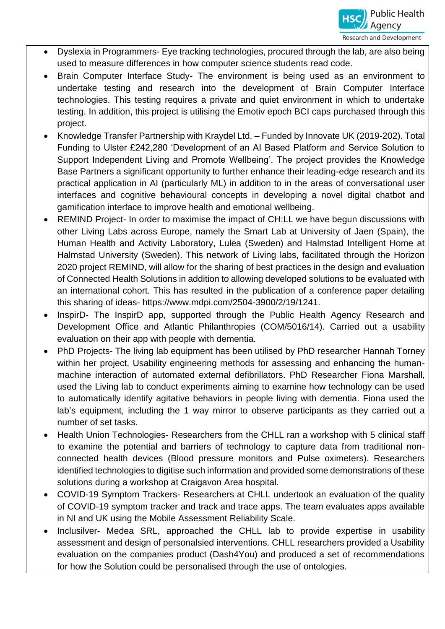- Dyslexia in Programmers- Eye tracking technologies, procured through the lab, are also being used to measure differences in how computer science students read code.
- Brain Computer Interface Study- The environment is being used as an environment to undertake testing and research into the development of Brain Computer Interface technologies. This testing requires a private and quiet environment in which to undertake testing. In addition, this project is utilising the Emotiv epoch BCI caps purchased through this project.
- Knowledge Transfer Partnership with Kraydel Ltd. Funded by Innovate UK (2019-202). Total Funding to Ulster £242,280 'Development of an AI Based Platform and Service Solution to Support Independent Living and Promote Wellbeing'. The project provides the Knowledge Base Partners a significant opportunity to further enhance their leading-edge research and its practical application in AI (particularly ML) in addition to in the areas of conversational user interfaces and cognitive behavioural concepts in developing a novel digital chatbot and gamification interface to improve health and emotional wellbeing.
- REMIND Project- In order to maximise the impact of CH:LL we have begun discussions with other Living Labs across Europe, namely the Smart Lab at University of Jaen (Spain), the Human Health and Activity Laboratory, Lulea (Sweden) and Halmstad Intelligent Home at Halmstad University (Sweden). This network of Living labs, facilitated through the Horizon 2020 project REMIND, will allow for the sharing of best practices in the design and evaluation of Connected Health Solutions in addition to allowing developed solutions to be evaluated with an international cohort. This has resulted in the publication of a conference paper detailing this sharing of ideas- https://www.mdpi.com/2504-3900/2/19/1241.
- InspirD- The InspirD app, supported through the Public Health Agency Research and Development Office and Atlantic Philanthropies (COM/5016/14). Carried out a usability evaluation on their app with people with dementia.
- PhD Projects- The living lab equipment has been utilised by PhD researcher Hannah Torney within her project, Usability engineering methods for assessing and enhancing the humanmachine interaction of automated external defibrillators. PhD Researcher Fiona Marshall, used the Living lab to conduct experiments aiming to examine how technology can be used to automatically identify agitative behaviors in people living with dementia. Fiona used the lab's equipment, including the 1 way mirror to observe participants as they carried out a number of set tasks.
- Health Union Technologies- Researchers from the CHLL ran a workshop with 5 clinical staff to examine the potential and barriers of technology to capture data from traditional nonconnected health devices (Blood pressure monitors and Pulse oximeters). Researchers identified technologies to digitise such information and provided some demonstrations of these solutions during a workshop at Craigavon Area hospital.
- COVID-19 Symptom Trackers- Researchers at CHLL undertook an evaluation of the quality of COVID-19 symptom tracker and track and trace apps. The team evaluates apps available in NI and UK using the Mobile Assessment Reliability Scale.
- Inclusilver- Medea SRL, approached the CHLL lab to provide expertise in usability assessment and design of personalsied interventions. CHLL researchers provided a Usability evaluation on the companies product (Dash4You) and produced a set of recommendations for how the Solution could be personalised through the use of ontologies.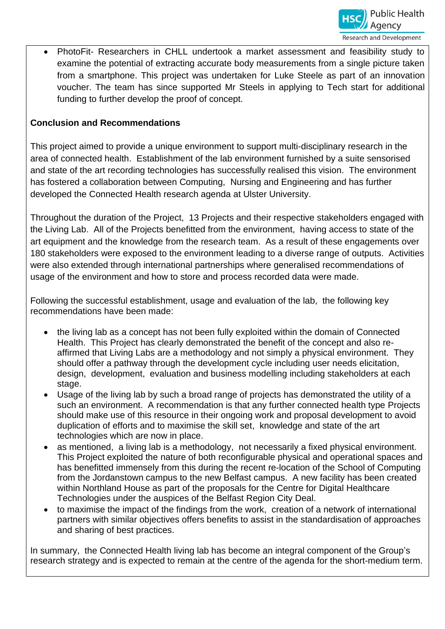

• PhotoFit- Researchers in CHLL undertook a market assessment and feasibility study to examine the potential of extracting accurate body measurements from a single picture taken from a smartphone. This project was undertaken for Luke Steele as part of an innovation voucher. The team has since supported Mr Steels in applying to Tech start for additional funding to further develop the proof of concept.

## **Conclusion and Recommendations**

This project aimed to provide a unique environment to support multi-disciplinary research in the area of connected health. Establishment of the lab environment furnished by a suite sensorised and state of the art recording technologies has successfully realised this vision. The environment has fostered a collaboration between Computing, Nursing and Engineering and has further developed the Connected Health research agenda at Ulster University.

Throughout the duration of the Project, 13 Projects and their respective stakeholders engaged with the Living Lab. All of the Projects benefitted from the environment, having access to state of the art equipment and the knowledge from the research team. As a result of these engagements over 180 stakeholders were exposed to the environment leading to a diverse range of outputs. Activities were also extended through international partnerships where generalised recommendations of usage of the environment and how to store and process recorded data were made.

Following the successful establishment, usage and evaluation of the lab, the following key recommendations have been made:

- the living lab as a concept has not been fully exploited within the domain of Connected Health. This Project has clearly demonstrated the benefit of the concept and also reaffirmed that Living Labs are a methodology and not simply a physical environment. They should offer a pathway through the development cycle including user needs elicitation, design, development, evaluation and business modelling including stakeholders at each stage.
- Usage of the living lab by such a broad range of projects has demonstrated the utility of a such an environment. A recommendation is that any further connected health type Projects should make use of this resource in their ongoing work and proposal development to avoid duplication of efforts and to maximise the skill set, knowledge and state of the art technologies which are now in place.
- as mentioned, a living lab is a methodology, not necessarily a fixed physical environment. This Project exploited the nature of both reconfigurable physical and operational spaces and has benefitted immensely from this during the recent re-location of the School of Computing from the Jordanstown campus to the new Belfast campus. A new facility has been created within Northland House as part of the proposals for the Centre for Digital Healthcare Technologies under the auspices of the Belfast Region City Deal.
- to maximise the impact of the findings from the work, creation of a network of international partners with similar objectives offers benefits to assist in the standardisation of approaches and sharing of best practices.

In summary, the Connected Health living lab has become an integral component of the Group's research strategy and is expected to remain at the centre of the agenda for the short-medium term.